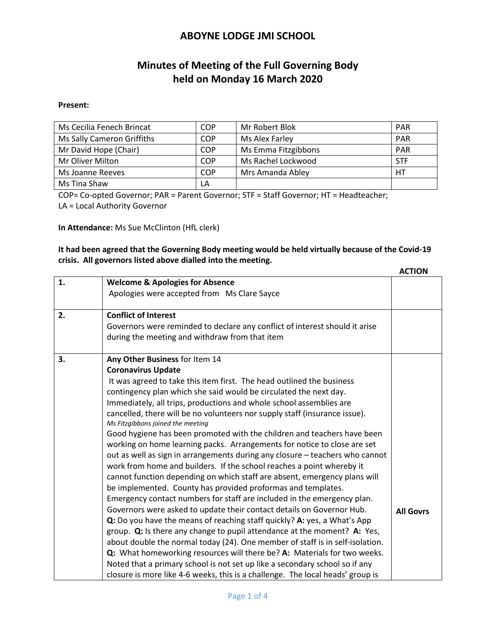# **Minutes of Meeting of the Full Governing Body held on Monday 16 March 2020**

#### **Present:**

| Ms Cecilia Fenech Brincat  | COP        | Mr Robert Blok      | <b>PAR</b> |
|----------------------------|------------|---------------------|------------|
| Ms Sally Cameron Griffiths | <b>COP</b> | Ms Alex Farley      | <b>PAR</b> |
| Mr David Hope (Chair)      | <b>COP</b> | Ms Emma Fitzgibbons | <b>PAR</b> |
| Mr Oliver Milton           | <b>COP</b> | Ms Rachel Lockwood  | <b>STF</b> |
| Ms Joanne Reeves           | COP        | Mrs Amanda Abley    | HТ         |
| Ms Tina Shaw               | LA         |                     |            |

COP= Co-opted Governor; PAR = Parent Governor; STF = Staff Governor; HT = Headteacher;

LA = Local Authority Governor

**In Attendance:** Ms Sue McClinton (HfL clerk)

#### **It had been agreed that the Governing Body meeting would be held virtually because of the Covid-19 crisis. All governors listed above dialled into the meeting.**

 **ACTION 1. Welcome & Apologies for Absence** Apologies were accepted from Ms Clare Sayce **2. Conflict of Interest** Governors were reminded to declare any conflict of interest should it arise during the meeting and withdraw from that item **3. Any Other Business** for Item 14 **Coronavirus Update** It was agreed to take this item first. The head outlined the business contingency plan which she said would be circulated the next day. Immediately, all trips, productions and whole school assemblies are cancelled, there will be no volunteers nor supply staff (insurance issue). *Ms Fitzgibbons joined the meeting* Good hygiene has been promoted with the children and teachers have been working on home learning packs. Arrangements for notice to close are set out as well as sign in arrangements during any closure – teachers who cannot work from home and builders. If the school reaches a point whereby it cannot function depending on which staff are absent, emergency plans will be implemented. County has provided proformas and templates. Emergency contact numbers for staff are included in the emergency plan. Governors were asked to update their contact details on Governor Hub. **Q:** Do you have the means of reaching staff quickly? **A:** yes, a What's App group. **Q:** Is there any change to pupil attendance at the moment? **A:** Yes, about double the normal today (24). One member of staff is in self-isolation. **Q:** What homeworking resources will there be? **A:** Materials for two weeks. Noted that a primary school is not set up like a secondary school so if any closure is more like 4-6 weeks, this is a challenge. The local heads' group is **All Govrs**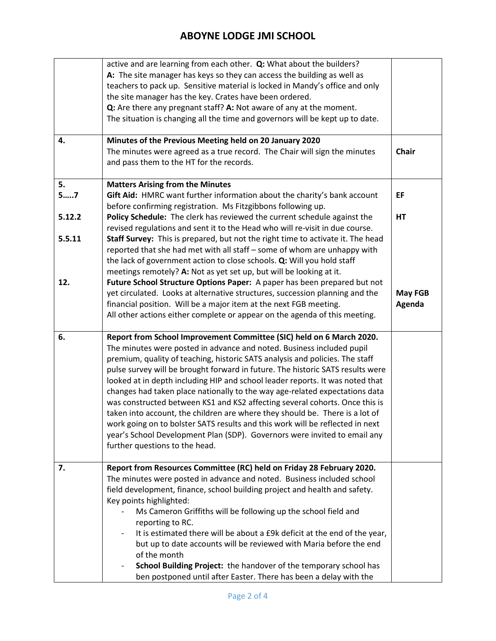|        | active and are learning from each other. Q: What about the builders?            |                |
|--------|---------------------------------------------------------------------------------|----------------|
|        | A: The site manager has keys so they can access the building as well as         |                |
|        | teachers to pack up. Sensitive material is locked in Mandy's office and only    |                |
|        | the site manager has the key. Crates have been ordered.                         |                |
|        | Q: Are there any pregnant staff? A: Not aware of any at the moment.             |                |
|        | The situation is changing all the time and governors will be kept up to date.   |                |
|        |                                                                                 |                |
| 4.     | Minutes of the Previous Meeting held on 20 January 2020                         |                |
|        | The minutes were agreed as a true record. The Chair will sign the minutes       | <b>Chair</b>   |
|        | and pass them to the HT for the records.                                        |                |
|        |                                                                                 |                |
| 5.     | <b>Matters Arising from the Minutes</b>                                         |                |
| 57     | Gift Aid: HMRC want further information about the charity's bank account        | EF             |
|        | before confirming registration. Ms Fitzgibbons following up.                    |                |
| 5.12.2 | Policy Schedule: The clerk has reviewed the current schedule against the        | HT             |
|        | revised regulations and sent it to the Head who will re-visit in due course.    |                |
|        |                                                                                 |                |
| 5.5.11 | Staff Survey: This is prepared, but not the right time to activate it. The head |                |
|        | reported that she had met with all staff - some of whom are unhappy with        |                |
|        | the lack of government action to close schools. Q: Will you hold staff          |                |
|        | meetings remotely? A: Not as yet set up, but will be looking at it.             |                |
| 12.    | Future School Structure Options Paper: A paper has been prepared but not        |                |
|        | yet circulated. Looks at alternative structures, succession planning and the    | <b>May FGB</b> |
|        | financial position. Will be a major item at the next FGB meeting.               | Agenda         |
|        | All other actions either complete or appear on the agenda of this meeting.      |                |
|        |                                                                                 |                |
| 6.     | Report from School Improvement Committee (SIC) held on 6 March 2020.            |                |
|        | The minutes were posted in advance and noted. Business included pupil           |                |
|        | premium, quality of teaching, historic SATS analysis and policies. The staff    |                |
|        | pulse survey will be brought forward in future. The historic SATS results were  |                |
|        | looked at in depth including HIP and school leader reports. It was noted that   |                |
|        | changes had taken place nationally to the way age-related expectations data     |                |
|        | was constructed between KS1 and KS2 affecting several cohorts. Once this is     |                |
|        | taken into account, the children are where they should be. There is a lot of    |                |
|        | work going on to bolster SATS results and this work will be reflected in next   |                |
|        | year's School Development Plan (SDP). Governors were invited to email any       |                |
|        | further questions to the head.                                                  |                |
|        |                                                                                 |                |
| 7.     | Report from Resources Committee (RC) held on Friday 28 February 2020.           |                |
|        | The minutes were posted in advance and noted. Business included school          |                |
|        | field development, finance, school building project and health and safety.      |                |
|        | Key points highlighted:                                                         |                |
|        | Ms Cameron Griffiths will be following up the school field and                  |                |
|        | reporting to RC.                                                                |                |
|        | It is estimated there will be about a £9k deficit at the end of the year,       |                |
|        | but up to date accounts will be reviewed with Maria before the end              |                |
|        | of the month                                                                    |                |
|        | School Building Project: the handover of the temporary school has               |                |
|        | ben postponed until after Easter. There has been a delay with the               |                |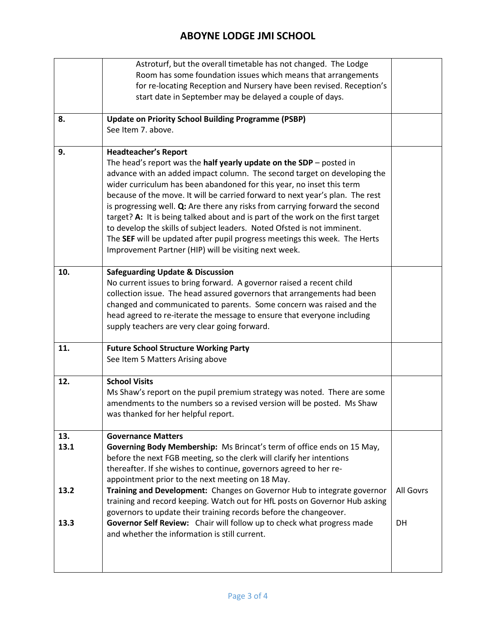|              | Astroturf, but the overall timetable has not changed. The Lodge<br>Room has some foundation issues which means that arrangements<br>for re-locating Reception and Nursery have been revised. Reception's<br>start date in September may be delayed a couple of days.                                                                                                                                                                                                                                                                                                                                                                                                                                                            |                 |
|--------------|---------------------------------------------------------------------------------------------------------------------------------------------------------------------------------------------------------------------------------------------------------------------------------------------------------------------------------------------------------------------------------------------------------------------------------------------------------------------------------------------------------------------------------------------------------------------------------------------------------------------------------------------------------------------------------------------------------------------------------|-----------------|
| 8.           | <b>Update on Priority School Building Programme (PSBP)</b><br>See Item 7. above.                                                                                                                                                                                                                                                                                                                                                                                                                                                                                                                                                                                                                                                |                 |
| 9.           | <b>Headteacher's Report</b><br>The head's report was the half yearly update on the SDP $-$ posted in<br>advance with an added impact column. The second target on developing the<br>wider curriculum has been abandoned for this year, no inset this term<br>because of the move. It will be carried forward to next year's plan. The rest<br>is progressing well. Q: Are there any risks from carrying forward the second<br>target? A: It is being talked about and is part of the work on the first target<br>to develop the skills of subject leaders. Noted Ofsted is not imminent.<br>The SEF will be updated after pupil progress meetings this week. The Herts<br>Improvement Partner (HIP) will be visiting next week. |                 |
| 10.          | <b>Safeguarding Update &amp; Discussion</b><br>No current issues to bring forward. A governor raised a recent child<br>collection issue. The head assured governors that arrangements had been<br>changed and communicated to parents. Some concern was raised and the<br>head agreed to re-iterate the message to ensure that everyone including<br>supply teachers are very clear going forward.                                                                                                                                                                                                                                                                                                                              |                 |
| 11.          | <b>Future School Structure Working Party</b><br>See Item 5 Matters Arising above                                                                                                                                                                                                                                                                                                                                                                                                                                                                                                                                                                                                                                                |                 |
| 12.          | <b>School Visits</b><br>Ms Shaw's report on the pupil premium strategy was noted. There are some<br>amendments to the numbers so a revised version will be posted. Ms Shaw<br>was thanked for her helpful report.                                                                                                                                                                                                                                                                                                                                                                                                                                                                                                               |                 |
| 13.<br>13.1  | <b>Governance Matters</b><br>Governing Body Membership: Ms Brincat's term of office ends on 15 May,<br>before the next FGB meeting, so the clerk will clarify her intentions<br>thereafter. If she wishes to continue, governors agreed to her re-<br>appointment prior to the next meeting on 18 May.                                                                                                                                                                                                                                                                                                                                                                                                                          |                 |
| 13.2<br>13.3 | Training and Development: Changes on Governor Hub to integrate governor<br>training and record keeping. Watch out for HfL posts on Governor Hub asking<br>governors to update their training records before the changeover.<br>Governor Self Review: Chair will follow up to check what progress made<br>and whether the information is still current.                                                                                                                                                                                                                                                                                                                                                                          | All Govrs<br>DH |